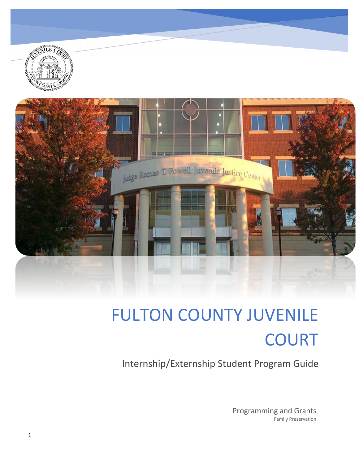

Internship/Externship Student Program Guide

Programming and Grants Family Preservation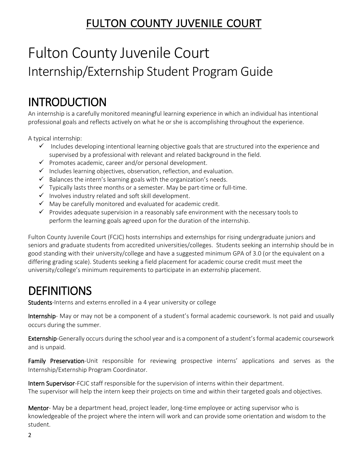## Fulton County Juvenile Court Internship/Externship Student Program Guide

INTRODUCTION<br>An internship is a carefully monitored meaningful learning experience in which an individual has intentional professional goals and reflects actively on what he or she is accomplishing throughout the experience.

A typical internship:

- $\checkmark$  Includes developing intentional learning objective goals that are structured into the experience and supervised by a professional with relevant and related background in the field.
- $\checkmark$  Promotes academic, career and/or personal development.
- $\checkmark$  Includes learning objectives, observation, reflection, and evaluation.
- $\checkmark$  Balances the intern's learning goals with the organization's needs.
- $\checkmark$  Typically lasts three months or a semester. May be part-time or full-time.
- $\checkmark$  Involves industry related and soft skill development.
- $\checkmark$  May be carefully monitored and evaluated for academic credit.
- $\checkmark$  Provides adequate supervision in a reasonably safe environment with the necessary tools to perform the learning goals agreed upon for the duration of the internship.

Fulton County Juvenile Court (FCJC) hosts internships and externships for rising undergraduate juniors and seniors and graduate students from accredited universities/colleges. Students seeking an internship should be in good standing with their university/college and have a suggested minimum GPA of 3.0 (or the equivalent on a differing grading scale). Students seeking a field placement for academic course credit must meet the university/college's minimum requirements to participate in an externship placement.

DEFINITIONS<br>Students-Interns and externs enrolled in a 4 year university or college

Internship- May or may not be a component of a student's formal academic coursework. Is not paid and usually occurs during the summer.

Externship-Generally occurs during the school year and is a component of a student's formal academic coursework and is unpaid.

Family Preservation-Unit responsible for reviewing prospective interns' applications and serves as the Internship/Externship Program Coordinator.

Intern Supervisor-FCJC staff responsible for the supervision of interns within their department. The supervisor will help the intern keep their projects on time and within their targeted goals and objectives.

Mentor- May be a department head, project leader, long-time employee or acting supervisor who is knowledgeable of the project where the intern will work and can provide some orientation and wisdom to the student.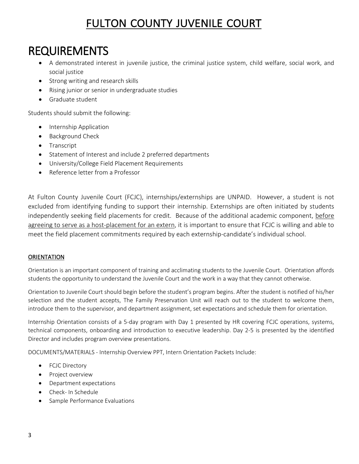## REQUIREMENTS

- A demonstrated interest in juvenile justice, the criminal justice system, child welfare, social work, and social justice
- Strong writing and research skills
- Rising junior or senior in undergraduate studies
- Graduate student

Students should submit the following:

- Internship Application
- Background Check
- Transcript
- Statement of Interest and include 2 preferred departments
- University/College Field Placement Requirements
- Reference letter from a Professor

At Fulton County Juvenile Court (FCJC), internships/externships are UNPAID. However, a student is not excluded from identifying funding to support their internship. Externships are often initiated by students independently seeking field placements for credit. Because of the additional academic component, before agreeing to serve as a host-placement for an extern, it is important to ensure that FCJC is willing and able to meet the field placement commitments required by each externship-candidate's individual school.

### **ORIENTATION**

Orientation is an important component of training and acclimating students to the Juvenile Court. Orientation affords students the opportunity to understand the Juvenile Court and the work in a way that they cannot otherwise.

Orientation to Juvenile Court should begin before the student's program begins. After the student is notified of his/her selection and the student accepts, The Family Preservation Unit will reach out to the student to welcome them, introduce them to the supervisor, and department assignment, set expectations and schedule them for orientation.

Internship Orientation consists of a 5-day program with Day 1 presented by HR covering FCJC operations, systems, technical components, onboarding and introduction to executive leadership. Day 2-5 is presented by the identified Director and includes program overview presentations.

DOCUMENTS/MATERIALS - Internship Overview PPT, Intern Orientation Packets Include:

- FCJC Directory
- Project overview
- Department expectations
- Check- In Schedule
- Sample Performance Evaluations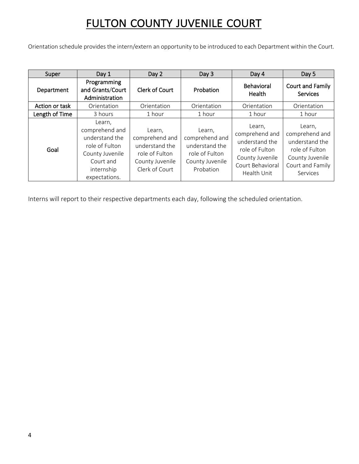Orientation schedule provides the intern/extern an opportunity to be introduced to each Department within the Court.

| Super          | Day 1                                                                                                                       | Day 2                                                                                             | Day 3                                                                                        | Day 4                                                                                                              | Day 5                                                                                                           |
|----------------|-----------------------------------------------------------------------------------------------------------------------------|---------------------------------------------------------------------------------------------------|----------------------------------------------------------------------------------------------|--------------------------------------------------------------------------------------------------------------------|-----------------------------------------------------------------------------------------------------------------|
| Department     | Programming<br>and Grants/Court<br>Administration                                                                           | <b>Clerk of Court</b>                                                                             | Probation                                                                                    | <b>Behavioral</b><br>Health                                                                                        | <b>Court and Family</b><br><b>Services</b>                                                                      |
| Action or task | Orientation                                                                                                                 | Orientation                                                                                       | Orientation                                                                                  | Orientation                                                                                                        | Orientation                                                                                                     |
| Length of Time | 3 hours                                                                                                                     | 1 hour                                                                                            | 1 hour                                                                                       | 1 hour                                                                                                             | 1 hour                                                                                                          |
| Goal           | Learn,<br>comprehend and<br>understand the<br>role of Fulton<br>County Juvenile<br>Court and<br>internship<br>expectations. | Learn,<br>comprehend and<br>understand the<br>role of Fulton<br>County Juvenile<br>Clerk of Court | Learn,<br>comprehend and<br>understand the<br>role of Fulton<br>County Juvenile<br>Probation | Learn,<br>comprehend and<br>understand the<br>role of Fulton<br>County Juvenile<br>Court Behavioral<br>Health Unit | Learn,<br>comprehend and<br>understand the<br>role of Fulton<br>County Juvenile<br>Court and Family<br>Services |

Interns will report to their respective departments each day, following the scheduled orientation.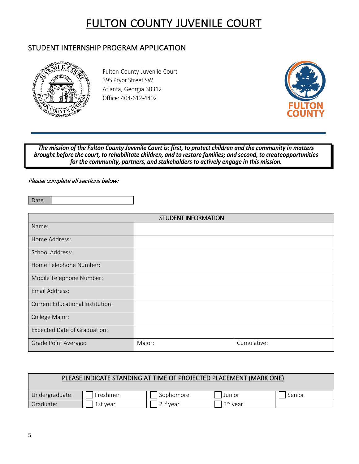### STUDENT INTERNSHIP PROGRAM APPLICATION



Fulton County Juvenile Court 395 Pryor Street SW Atlanta, Georgia 30312 Office: 404-612-4402



The mission of the Fulton County Juvenile Court is: first, to protect children and the community in matters brought before the court, to rehabilitate children, and to restore families; and second, to create opportunities for the community, partners, and stakeholders to actively engage in this mission.

#### Please complete all sections below:

Date

| <b>STUDENT INFORMATION</b>              |        |             |  |  |
|-----------------------------------------|--------|-------------|--|--|
| Name:                                   |        |             |  |  |
| Home Address:                           |        |             |  |  |
| <b>School Address:</b>                  |        |             |  |  |
| Home Telephone Number:                  |        |             |  |  |
| Mobile Telephone Number:                |        |             |  |  |
| Email Address:                          |        |             |  |  |
| <b>Current Educational Institution:</b> |        |             |  |  |
| College Major:                          |        |             |  |  |
| Expected Date of Graduation:            |        |             |  |  |
| Grade Point Average:                    | Major: | Cumulative: |  |  |

|                |          | PLEASE INDICATE STANDING AT TIME OF PROJECTED PLACEMENT (MARK ONE) |                      |        |
|----------------|----------|--------------------------------------------------------------------|----------------------|--------|
| Undergraduate: | Freshmen | Sophomore                                                          | Junior               | Senior |
| Graduate:      | 1st vear | $2nd$ vear                                                         | 3 <sup>rd</sup> vear |        |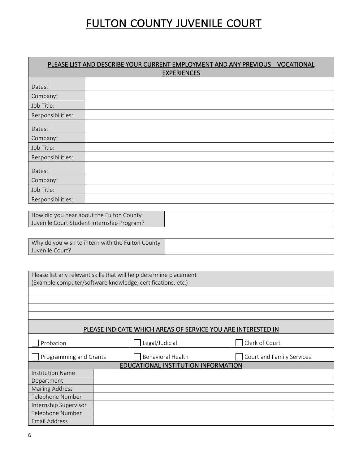| PLEASE LIST AND DESCRIBE YOUR CURRENT EMPLOYMENT AND ANY PREVIOUS VOCATIONAL<br><b>EXPERIENCES</b> |  |  |  |  |
|----------------------------------------------------------------------------------------------------|--|--|--|--|
|                                                                                                    |  |  |  |  |
| Dates:                                                                                             |  |  |  |  |
| Company:                                                                                           |  |  |  |  |
| Job Title:                                                                                         |  |  |  |  |
| Responsibilities:                                                                                  |  |  |  |  |
| Dates:                                                                                             |  |  |  |  |
| Company:                                                                                           |  |  |  |  |
| Job Title:                                                                                         |  |  |  |  |
| Responsibilities:                                                                                  |  |  |  |  |
| Dates:                                                                                             |  |  |  |  |
| Company:                                                                                           |  |  |  |  |
| Job Title:                                                                                         |  |  |  |  |
| Responsibilities:                                                                                  |  |  |  |  |

| How did you hear about the Fulton County   |  |
|--------------------------------------------|--|
| Juvenile Court Student Internship Program? |  |

| Why do you wish to intern with the Fulton County |  |
|--------------------------------------------------|--|
| Juvenile Court?                                  |  |

|                                                             | Please list any relevant skills that will help determine placement |                                                              |                           |  |  |
|-------------------------------------------------------------|--------------------------------------------------------------------|--------------------------------------------------------------|---------------------------|--|--|
| (Example computer/software knowledge, certifications, etc.) |                                                                    |                                                              |                           |  |  |
|                                                             |                                                                    |                                                              |                           |  |  |
|                                                             |                                                                    |                                                              |                           |  |  |
|                                                             |                                                                    |                                                              |                           |  |  |
|                                                             |                                                                    |                                                              |                           |  |  |
|                                                             |                                                                    | PLEASE INDICATE WHICH AREAS OF SERVICE YOU ARE INTERESTED IN |                           |  |  |
| Probation                                                   |                                                                    | Legal/Judicial                                               | Clerk of Court            |  |  |
| Programming and Grants                                      |                                                                    | <b>Behavioral Health</b>                                     | Court and Family Services |  |  |
|                                                             |                                                                    | EDUCATIONAL INSTITUTION INFORMATION                          |                           |  |  |
| <b>Institution Name</b>                                     |                                                                    |                                                              |                           |  |  |
| Department                                                  |                                                                    |                                                              |                           |  |  |
| <b>Mailing Address</b>                                      |                                                                    |                                                              |                           |  |  |
| Telephone Number                                            |                                                                    |                                                              |                           |  |  |
| Internship Supervisor                                       |                                                                    |                                                              |                           |  |  |
| Telephone Number                                            |                                                                    |                                                              |                           |  |  |
| <b>Email Address</b>                                        |                                                                    |                                                              |                           |  |  |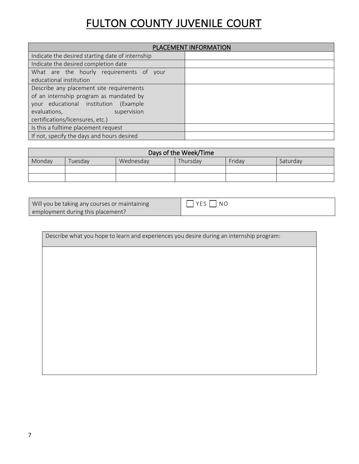|                                                  | PLACEMENT INFORMATION |
|--------------------------------------------------|-----------------------|
| Indicate the desired starting date of internship |                       |
| Indicate the desired completion date             |                       |
| What are the hourly requirements of your         |                       |
| educational institution                          |                       |
| Describe any placement site requirements         |                       |
| of an internship program as mandated by          |                       |
| your educational institution<br>(Example)        |                       |
| evaluations,<br>supervision                      |                       |
| certifications/licensures, etc.)                 |                       |
| Is this a fulltime placement request             |                       |
| If not, specify the days and hours desired       |                       |

| Days of the Week/Time                                                        |  |  |  |  |  |  |
|------------------------------------------------------------------------------|--|--|--|--|--|--|
| Friday<br>Monday<br>Wednesday<br>Thursday<br>uesdav <sup>-</sup><br>Saturday |  |  |  |  |  |  |
|                                                                              |  |  |  |  |  |  |
|                                                                              |  |  |  |  |  |  |

Will you be taking any courses or maintaining employment during this placement?

YES NO

Describe what you hope to learn and experiences you desire during an internship program: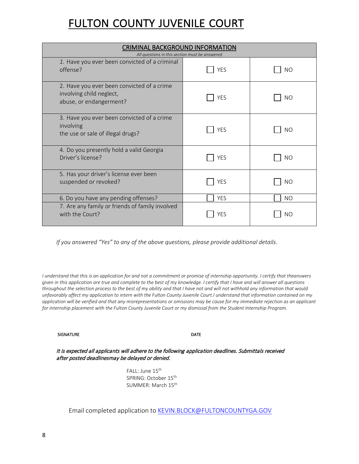| <b>CRIMINAL BACKGROUND INFORMATION</b><br>All questions in this section must be answered          |            |                |  |  |
|---------------------------------------------------------------------------------------------------|------------|----------------|--|--|
| 1. Have you ever been convicted of a criminal<br>offense?                                         | <b>YES</b> | N <sub>O</sub> |  |  |
| 2. Have you ever been convicted of a crime<br>involving child neglect,<br>abuse, or endangerment? | <b>YES</b> | NO             |  |  |
| 3. Have you ever been convicted of a crime<br>involving<br>the use or sale of illegal drugs?      | <b>YES</b> | <b>NO</b>      |  |  |
| 4. Do you presently hold a valid Georgia<br>Driver's license?                                     | <b>YES</b> | N <sub>O</sub> |  |  |
| 5. Has your driver's license ever been<br>suspended or revoked?                                   | <b>YES</b> | N <sub>O</sub> |  |  |
| 6. Do you have any pending offenses?                                                              | <b>YES</b> | <b>NO</b>      |  |  |
| 7. Are any family or friends of family involved<br>with the Court?                                | YES        | <b>NO</b>      |  |  |

*If you answered "Yes" to any of the above questions, please provide additional details.*

*I understand that this is an application for and not a commitment or promise of internship opportunity. I certify that the answers given in this application are true and complete to the best of my knowledge. I certify that I have and will answer all questions throughout the selection process to the best of my ability and that I have not and will not withhold any information that would unfavorably affect my application to intern with the Fulton County Juvenile Court.I understand that information contained on my application will be verified and that any misrepresentations or omissions may be cause for my immediate rejection as an applicant for internship placement with the Fulton County Juvenile Court or my dismissal from the Student Internship Program.*

#### SIGNATURE DATE

#### It is expected all applicants will adhere to the following application deadlines. Submittals received after posted deadlinesmay be delayed or denied.

FALL: June 15<sup>th</sup> SPRING: October 15<sup>th</sup> SUMMER: March 15th

Email completed application to [KEVIN.BLOCK@FULTONCOUNTYGA.GOV](mailto:KEVIN.BLOCK@FULTONCOUNTYGA.GOV)